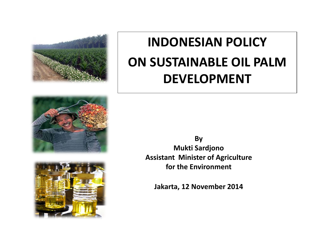

### **INDONESIAN POLICY ON SUSTAINABLE OIL PALM DEVELOPMENT**





**By Mukti Sardjono Assistant Minister of Agriculture for the Environment**

**Jakarta, 12 November 2014**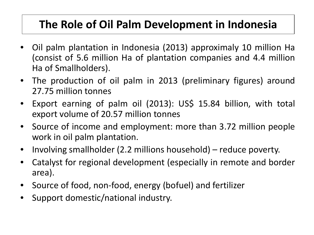#### **The Role of Oil Palm Development in Indonesia**

- Oil palm plantation in Indonesia (2013) approximaly 10 million Ha (consist of 5.6 million Ha of plantation companies and 4.4 million Ha of Smallholders).
- The production of oil palm in 2013 (preliminary figures) around 27.75 million tonnes
- Export earning of palm oil (2013): US\$ 15.84 billion, with total export volume of 20.57 million tonnes
- Source of income and employment: more than 3.72 million people work in oil palm plantation.
- Involving smallholder (2.2 millions household) reduce poverty.
- Catalyst for regional development (especially in remote and border area).
- Source of food, non-food, energy (bofuel) and fertilizer
- Support domestic/national industry.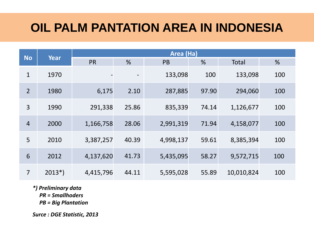#### **OIL PALM PANTATION AREA IN INDONESIA**

| <b>No</b>      | <b>Year</b> | Area (Ha) |       |           |       |            |     |  |
|----------------|-------------|-----------|-------|-----------|-------|------------|-----|--|
|                |             | <b>PR</b> | %     | <b>PB</b> | %     | Total      | %   |  |
| $\mathbf{1}$   | 1970        |           |       | 133,098   | 100   | 133,098    | 100 |  |
| $\overline{2}$ | 1980        | 6,175     | 2.10  | 287,885   | 97.90 | 294,060    | 100 |  |
| 3              | 1990        | 291,338   | 25.86 | 835,339   | 74.14 | 1,126,677  | 100 |  |
| $\overline{4}$ | 2000        | 1,166,758 | 28.06 | 2,991,319 | 71.94 | 4,158,077  | 100 |  |
| 5              | 2010        | 3,387,257 | 40.39 | 4,998,137 | 59.61 | 8,385,394  | 100 |  |
| 6              | 2012        | 4,137,620 | 41.73 | 5,435,095 | 58.27 | 9,572,715  | 100 |  |
| $\overline{7}$ | $2013*)$    | 4,415,796 | 44.11 | 5,595,028 | 55.89 | 10,010,824 | 100 |  |

*\*) Preliminary data*

 *PR = Smallhoders*

 *PB = Big Plantation*

*Surce : DGE Statistic, 2013*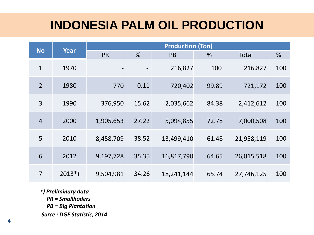#### **INDONESIA PALM OIL PRODUCTION**

|                | Year     | <b>Production (Ton)</b> |       |            |       |            |     |  |
|----------------|----------|-------------------------|-------|------------|-------|------------|-----|--|
| <b>No</b>      |          | <b>PR</b>               | %     | <b>PB</b>  | %     | Total      | %   |  |
| $\mathbf{1}$   | 1970     |                         |       | 216,827    | 100   | 216,827    | 100 |  |
| $\overline{2}$ | 1980     | 770                     | 0.11  | 720,402    | 99.89 | 721,172    | 100 |  |
| 3              | 1990     | 376,950                 | 15.62 | 2,035,662  | 84.38 | 2,412,612  | 100 |  |
| $\overline{4}$ | 2000     | 1,905,653               | 27.22 | 5,094,855  | 72.78 | 7,000,508  | 100 |  |
| 5              | 2010     | 8,458,709               | 38.52 | 13,499,410 | 61.48 | 21,958,119 | 100 |  |
| 6              | 2012     | 9,197,728               | 35.35 | 16,817,790 | 64.65 | 26,015,518 | 100 |  |
| $\overline{7}$ | $2013*)$ | 9,504,981               | 34.26 | 18,241,144 | 65.74 | 27,746,125 | 100 |  |

*\*) Preliminary data PR = Smallhoders PB = Big Plantation Surce : DGE Statistic, 2014*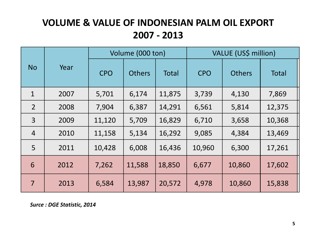#### **VOLUME & VALUE OF INDONESIAN PALM OIL EXPORT 2007 - 2013**

|                | Year | Volume (000 ton) |               |              | VALUE (US\$ million) |               |              |
|----------------|------|------------------|---------------|--------------|----------------------|---------------|--------------|
| <b>No</b>      |      | <b>CPO</b>       | <b>Others</b> | <b>Total</b> | <b>CPO</b>           | <b>Others</b> | <b>Total</b> |
| $\mathbf{1}$   | 2007 | 5,701            | 6,174         | 11,875       | 3,739                | 4,130         | 7,869        |
| $\overline{2}$ | 2008 | 7,904            | 6,387         | 14,291       | 6,561                | 5,814         | 12,375       |
| $\overline{3}$ | 2009 | 11,120           | 5,709         | 16,829       | 6,710                | 3,658         | 10,368       |
| $\overline{4}$ | 2010 | 11,158           | 5,134         | 16,292       | 9,085                | 4,384         | 13,469       |
| 5              | 2011 | 10,428           | 6,008         | 16,436       | 10,960               | 6,300         | 17,261       |
| 6              | 2012 | 7,262            | 11,588        | 18,850       | 6,677                | 10,860        | 17,602       |
| $\overline{7}$ | 2013 | 6,584            | 13,987        | 20,572       | 4,978                | 10,860        | 15,838       |

*Surce : DGE Statistic, 2014*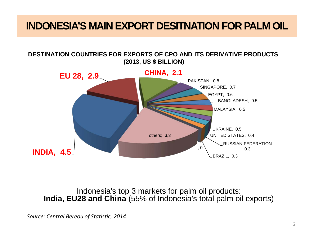#### **INDONESIA'S MAIN EXPORT DESITNATION FOR PALM OIL**

#### **DESTINATION COUNTRIES FOR EXPORTS OF CPO AND ITS DERIVATIVE PRODUCTS (2013, US \$ BILLION)**



Indonesia's top 3 markets for palm oil products: **India, EU28 and China** (55% of Indonesia's total palm oil exports)

*Source: Central Bereou of Statistic, 2014*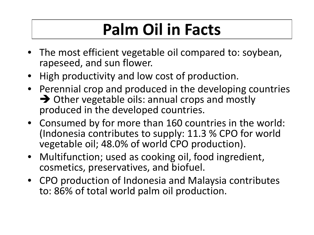### **Palm Oil in Facts**

- The most efficient vegetable oil compared to: soybean, rapeseed, and sun flower.
- High productivity and low cost of production.
- Perennial crop and produced in the developing countries  $\rightarrow$  Other vegetable oils: annual crops and mostly produced in the developed countries.
- Consumed by for more than 160 countries in the world: (Indonesia contributes to supply: 11.3 % CPO for world vegetable oil; 48.0% of world CPO production).
- Multifunction; used as cooking oil, food ingredient, cosmetics, preservatives, and biofuel.
- CPO production of Indonesia and Malaysia contributes to: 86% of total world palm oil production.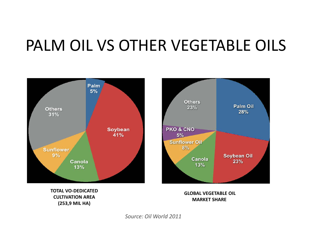### PALM OIL VS OTHER VEGETABLE OILS





**TOTAL VO-DEDICATED CULTIVATION AREA (253,9 MIL HA)**

**GLOBAL VEGETABLE OIL MARKET SHARE**

*Source: Oil World 2011*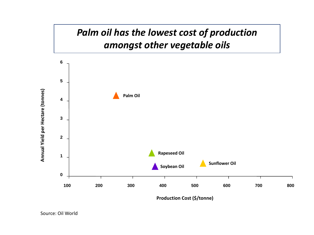

**Production Cost (\$/tonne)**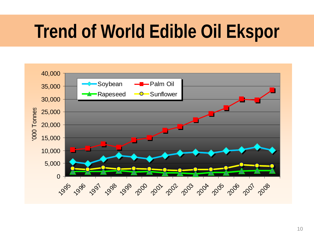# **Trend of World Edible Oil Ekspor**

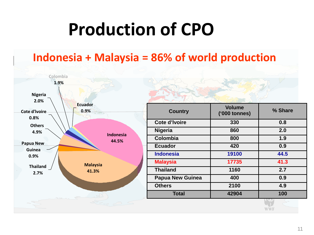## **Production of CPO**

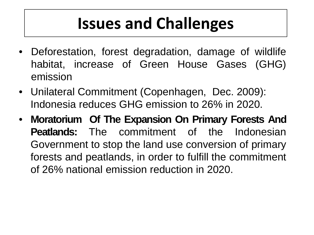### **Issues and Challenges**

- Deforestation, forest degradation, damage of wildlife habitat, increase of Green House Gases (GHG) emission
- Unilateral Commitment (Copenhagen, Dec. 2009): Indonesia reduces GHG emission to 26% in 2020.
- **Moratorium Of The Expansion On Primary Forests And Peatlands:** The commitment of the Indonesian Government to stop the land use conversion of primary forests and peatlands, in order to fulfill the commitment of 26% national emission reduction in 2020.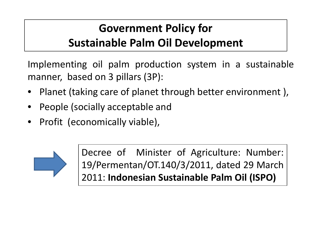#### **Government Policy for Sustainable Palm Oil Development**

Implementing oil palm production system in a sustainable manner, based on 3 pillars (3P):

- Planet (taking care of planet through better environment),
- People (socially acceptable and
- Profit (economically viable),



Decree of Minister of Agriculture: Number: 19/Permentan/OT.140/3/2011, dated 29 March 2011: **Indonesian Sustainable Palm Oil (ISPO)**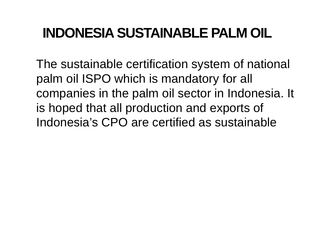### **INDONESIA SUSTAINABLE PALM OIL**

The sustainable certification system of national palm oil ISPO which is mandatory for all companies in the palm oil sector in Indonesia. It is hoped that all production and exports of Indonesia's CPO are certified as sustainable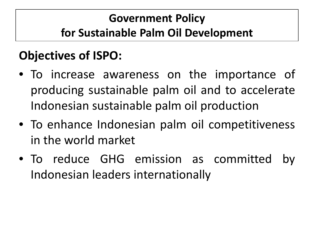#### **Government Policy for Sustainable Palm Oil Development**

### **Objectives of ISPO:**

- To increase awareness on the importance of producing sustainable palm oil and to accelerate Indonesian sustainable palm oil production
- To enhance Indonesian palm oil competitiveness in the world market
- To reduce GHG emission as committed Indonesian leaders internationally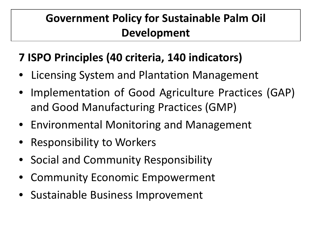#### **Government Policy for Sustainable Palm Oil Development**

#### **7 ISPO Principles (40 criteria, 140 indicators)**

- Licensing System and Plantation Management
- Implementation of Good Agriculture Practices (GAP) and Good Manufacturing Practices (GMP)
- Environmental Monitoring and Management
- Responsibility to Workers
- Social and Community Responsibility
- Community Economic Empowerment
- Sustainable Business Improvement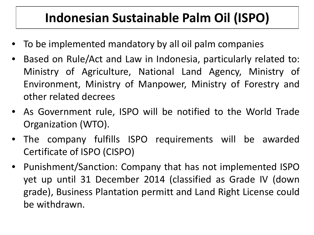### **Indonesian Sustainable Palm Oil (ISPO)**

- To be implemented mandatory by all oil palm companies
- Based on Rule/Act and Law in Indonesia, particularly related to: Ministry of Agriculture, National Land Agency, Ministry of Environment, Ministry of Manpower, Ministry of Forestry and other related decrees
- As Government rule, ISPO will be notified to the World Trade Organization (WTO).
- The company fulfills ISPO requirements will be awarded Certificate of ISPO (CISPO)
- Punishment/Sanction: Company that has not implemented ISPO yet up until 31 December 2014 (classified as Grade IV (down grade), Business Plantation permitt and Land Right License could be withdrawn.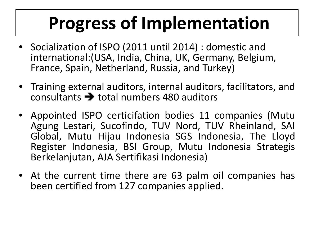# **Progress of Implementation**

- Socialization of ISPO (2011 until 2014) : domestic and international:(USA, India, China, UK, Germany, Belgium, France, Spain, Netherland, Russia, and Turkey)
- Training external auditors, internal auditors, facilitators, and consultants  $\rightarrow$  total numbers 480 auditors
- Appointed ISPO certicifation bodies 11 companies (Mutu Agung Lestari, Sucofindo, TUV Nord, TUV Rheinland, SAI Global, Mutu Hijau Indonesia SGS Indonesia, The Lloyd Register Indonesia, BSI Group, Mutu Indonesia Strategis Berkelanjutan, AJA Sertifikasi Indonesia)
- At the current time there are 63 palm oil companies has been certified from 127 companies applied.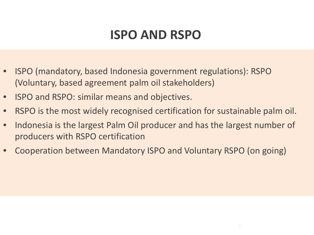### **ISPO AND RSPO**

- ISPO (mandatory, based Indonesia government regulations): RSPO (Voluntary, based agreement palm oil stakeholders)
- ISPO and RSPO: similar means and objectives.
- RSPO is the most widely recognised certification for sustainable palm oil.
- Indonesia is the largest Palm Oil producer and has the largest number of producers with RSPO certification
- Cooperation between Mandatory ISPO and Voluntary RSPO (on going)